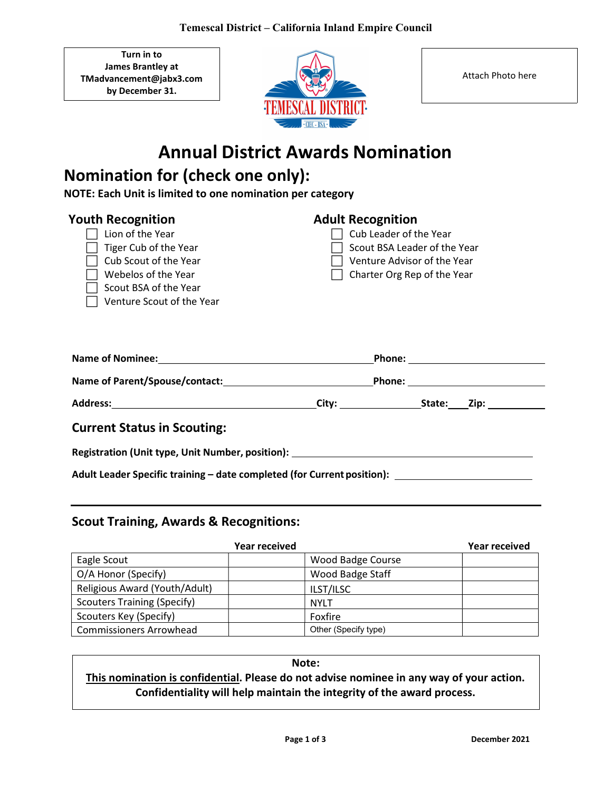Turn in to James Brantley at TMadvancement@jabx3.com by December 31.



Attach Photo here

# Annual District Awards Nomination

## Nomination for (check one only):

NOTE: Each Unit is limited to one nomination per category

| <b>Youth Recognition</b><br>Lion of the Year<br>Tiger Cub of the Year<br>Cub Scout of the Year<br>Webelos of the Year<br>Scout BSA of the Year<br>Venture Scout of the Year | <b>Adult Recognition</b><br>Cub Leader of the Year<br>Scout BSA Leader of the Year<br>Venture Advisor of the Year<br>Charter Org Rep of the Year |
|-----------------------------------------------------------------------------------------------------------------------------------------------------------------------------|--------------------------------------------------------------------------------------------------------------------------------------------------|
| <b>Name of Nominee:</b>                                                                                                                                                     | Phone:                                                                                                                                           |
| Name of Parent/Spouse/contact:                                                                                                                                              | Phone:                                                                                                                                           |

Address: City: City: State: Zip: State: State: State: State: State: State: State: State: State: State: State: State: State: State: State: State: State: State: State: State: State: State: State: State: State: State: State:

Current Status in Scouting:

Registration (Unit type, Unit Number, position):

Adult Leader Specific training – date completed (for Current position): \_\_\_\_\_\_\_\_\_\_\_\_\_\_\_\_\_\_\_\_\_\_\_\_\_\_\_\_

#### Scout Training, Awards & Recognitions:

|                                    | Year received        | Year received |
|------------------------------------|----------------------|---------------|
| Eagle Scout                        | Wood Badge Course    |               |
| O/A Honor (Specify)                | Wood Badge Staff     |               |
| Religious Award (Youth/Adult)      | ILST/ILSC            |               |
| <b>Scouters Training (Specify)</b> | <b>NYLT</b>          |               |
| Scouters Key (Specify)             | Foxfire              |               |
| <b>Commissioners Arrowhead</b>     | Other (Specify type) |               |

#### Note: This nomination is confidential. Please do not advise nominee in any way of your action. Confidentiality will help maintain the integrity of the award process.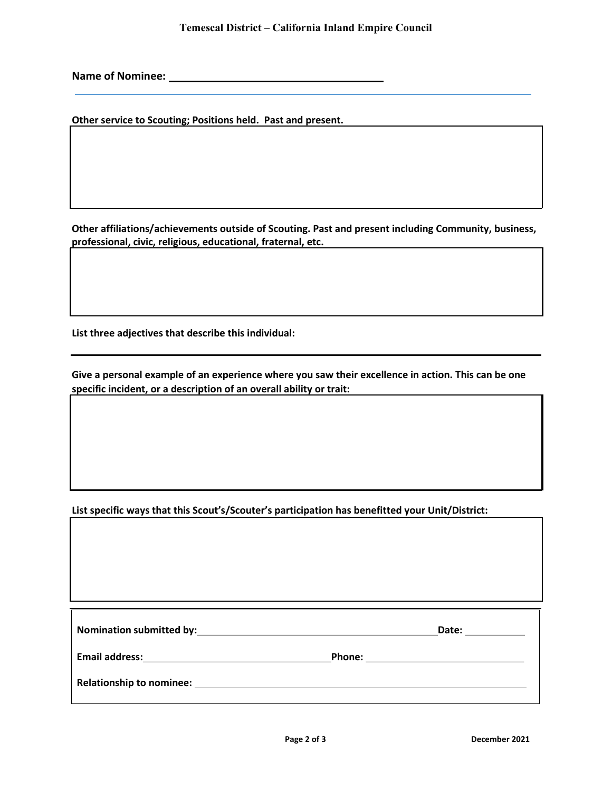Name of Nominee:

Other service to Scouting; Positions held. Past and present.

Other affiliations/achievements outside of Scouting. Past and present including Community, business, professional, civic, religious, educational, fraternal, etc.

List three adjectives that describe this individual:

Give a personal example of an experience where you saw their excellence in action. This can be one specific incident, or a description of an overall ability or trait:

List specific ways that this Scout's/Scouter's participation has benefitted your Unit/District:

| Nomination submitted by: Nomination submitted by: | Date:         |
|---------------------------------------------------|---------------|
| <b>Email address:</b>                             | <b>Phone:</b> |
| <b>Relationship to nominee:</b>                   |               |